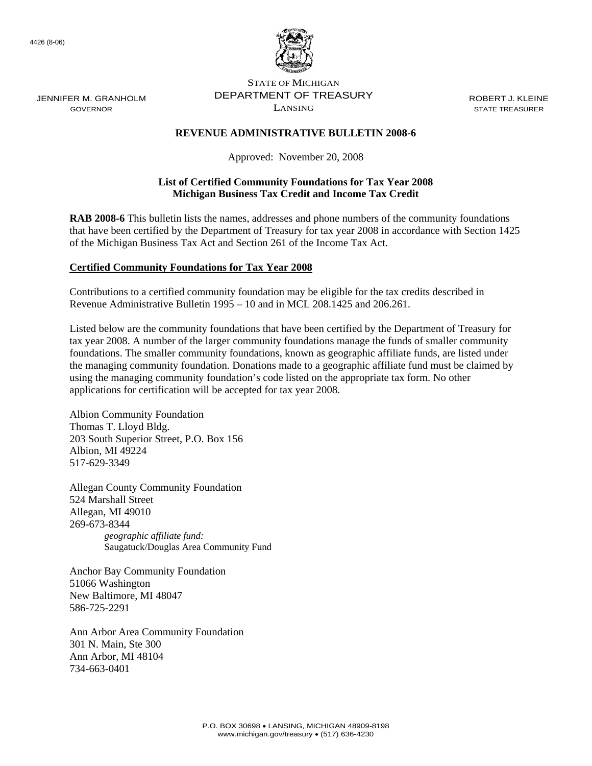4426 (8-06)

JENNIFER M. GRANHOLM GOVERNOR



STATE OF MICHIGAN DEPARTMENT OF TREASURY LANSING

ROBERT J. KLEINE STATE TREASURER

## **REVENUE ADMINISTRATIVE BULLETIN 2008-6**

Approved: November 20, 2008

## **List of Certified Community Foundations for Tax Year 2008 Michigan Business Tax Credit and Income Tax Credit**

**RAB 2008-6** This bulletin lists the names, addresses and phone numbers of the community foundations that have been certified by the Department of Treasury for tax year 2008 in accordance with Section 1425 of the Michigan Business Tax Act and Section 261 of the Income Tax Act.

## **Certified Community Foundations for Tax Year 2008**

Contributions to a certified community foundation may be eligible for the tax credits described in Revenue Administrative Bulletin 1995 – 10 and in MCL 208.1425 and 206.261.

Listed below are the community foundations that have been certified by the Department of Treasury for tax year 2008. A number of the larger community foundations manage the funds of smaller community foundations. The smaller community foundations, known as geographic affiliate funds, are listed under the managing community foundation. Donations made to a geographic affiliate fund must be claimed by using the managing community foundation's code listed on the appropriate tax form. No other applications for certification will be accepted for tax year 2008.

Albion Community Foundation Thomas T. Lloyd Bldg. 203 South Superior Street, P.O. Box 156 Albion, MI 49224 517-629-3349

Allegan County Community Foundation 524 Marshall Street Allegan, MI 49010 269-673-8344 *geographic affiliate fund:*  Saugatuck/Douglas Area Community Fund

Anchor Bay Community Foundation 51066 Washington New Baltimore, MI 48047 586-725-2291

Ann Arbor Area Community Foundation 301 N. Main, Ste 300 Ann Arbor, MI 48104 734-663-0401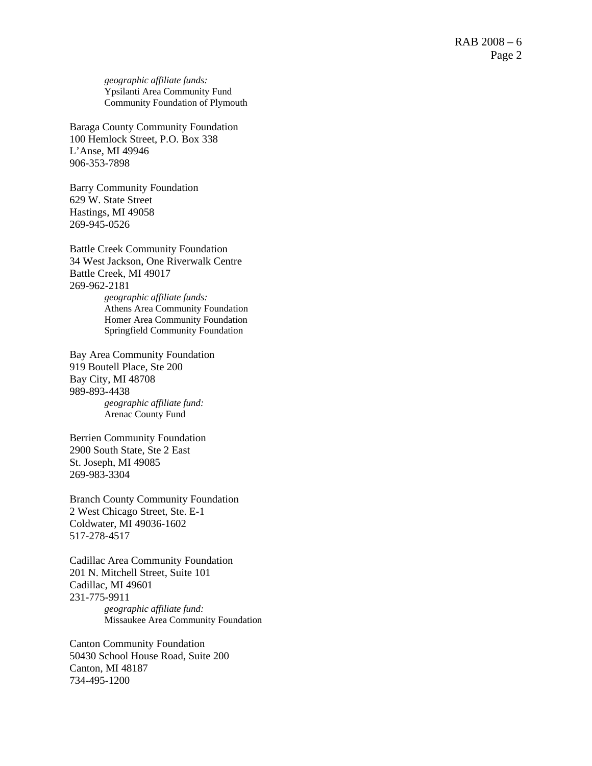*geographic affiliate funds:*  Ypsilanti Area Community Fund Community Foundation of Plymouth

Baraga County Community Foundation 100 Hemlock Street, P.O. Box 338 L'Anse, MI 49946 906-353-7898

Barry Community Foundation 629 W. State Street Hastings, MI 49058 269-945-0526

Battle Creek Community Foundation 34 West Jackson, One Riverwalk Centre Battle Creek, MI 49017 269-962-2181 *geographic affiliate funds:*  Athens Area Community Foundation Homer Area Community Foundation

Springfield Community Foundation

Bay Area Community Foundation 919 Boutell Place, Ste 200 Bay City, MI 48708 989-893-4438 *geographic affiliate fund:*  Arenac County Fund

Berrien Community Foundation 2900 South State, Ste 2 East St. Joseph, MI 49085 269-983-3304

Branch County Community Foundation 2 West Chicago Street, Ste. E-1 Coldwater, MI 49036-1602 517-278-4517

Cadillac Area Community Foundation 201 N. Mitchell Street, Suite 101 Cadillac, MI 49601 231-775-9911 *geographic affiliate fund:*  Missaukee Area Community Foundation

Canton Community Foundation 50430 School House Road, Suite 200 Canton, MI 48187 734-495-1200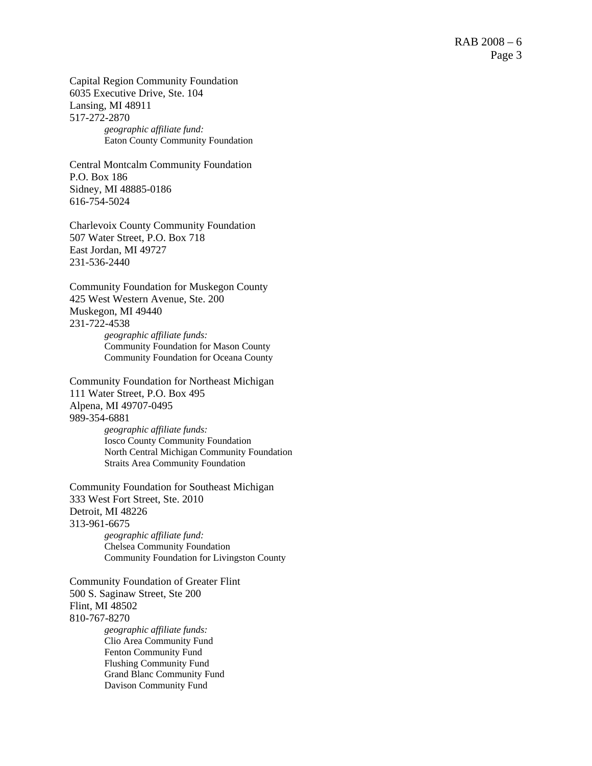Capital Region Community Foundation 6035 Executive Drive, Ste. 104 Lansing, MI 48911 517-272-2870 *geographic affiliate fund:* 

Eaton County Community Foundation

Central Montcalm Community Foundation P.O. Box 186 Sidney, MI 48885-0186 616-754-5024

Charlevoix County Community Foundation 507 Water Street, P.O. Box 718 East Jordan, MI 49727 231-536-2440

Community Foundation for Muskegon County 425 West Western Avenue, Ste. 200 Muskegon, MI 49440 231-722-4538

*geographic affiliate funds:*  Community Foundation for Mason County Community Foundation for Oceana County

Community Foundation for Northeast Michigan 111 Water Street, P.O. Box 495 Alpena, MI 49707-0495 989-354-6881 *geographic affiliate funds:* 

Iosco County Community Foundation North Central Michigan Community Foundation Straits Area Community Foundation

Community Foundation for Southeast Michigan 333 West Fort Street, Ste. 2010 Detroit, MI 48226 313-961-6675 *geographic affiliate fund:*  Chelsea Community Foundation

Community Foundation for Livingston County

Community Foundation of Greater Flint 500 S. Saginaw Street, Ste 200 Flint, MI 48502 810-767-8270 *geographic affiliate funds:* 

Clio Area Community Fund Fenton Community Fund Flushing Community Fund Grand Blanc Community Fund Davison Community Fund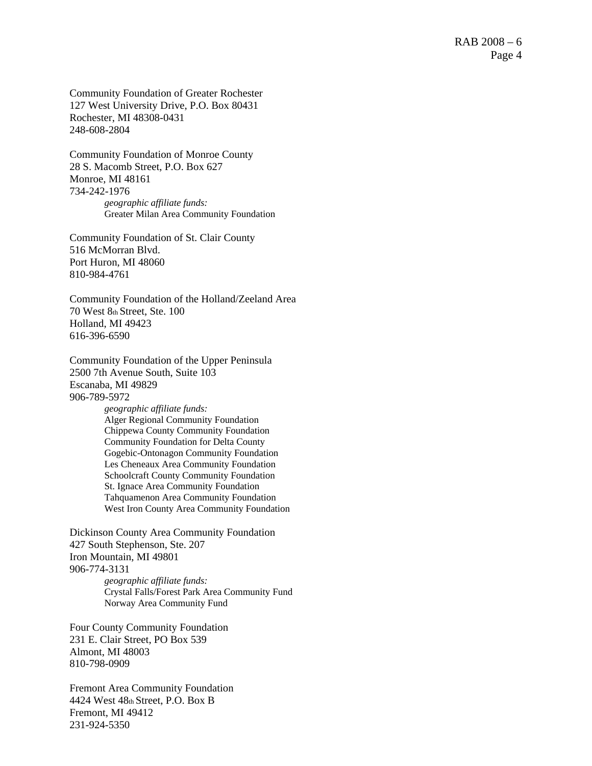Community Foundation of Greater Rochester 127 West University Drive, P.O. Box 80431 Rochester, MI 48308-0431 248-608-2804

Community Foundation of Monroe County 28 S. Macomb Street, P.O. Box 627 Monroe, MI 48161 734-242-1976 *geographic affiliate funds:*  Greater Milan Area Community Foundation

Community Foundation of St. Clair County 516 McMorran Blvd. Port Huron, MI 48060 810-984-4761

Community Foundation of the Holland/Zeeland Area 70 West 8th Street, Ste. 100 Holland, MI 49423 616-396-6590

Community Foundation of the Upper Peninsula 2500 7th Avenue South, Suite 103 Escanaba, MI 49829 906-789-5972

*geographic affiliate funds:*  Alger Regional Community Foundation Chippewa County Community Foundation Community Foundation for Delta County Gogebic-Ontonagon Community Foundation Les Cheneaux Area Community Foundation Schoolcraft County Community Foundation St. Ignace Area Community Foundation Tahquamenon Area Community Foundation West Iron County Area Community Foundation

Dickinson County Area Community Foundation 427 South Stephenson, Ste. 207 Iron Mountain, MI 49801 906-774-3131 *geographic affiliate funds:*  Crystal Falls/Forest Park Area Community Fund Norway Area Community Fund

Four County Community Foundation 231 E. Clair Street, PO Box 539 Almont, MI 48003 810-798-0909

Fremont Area Community Foundation 4424 West 48th Street, P.O. Box B Fremont, MI 49412 231-924-5350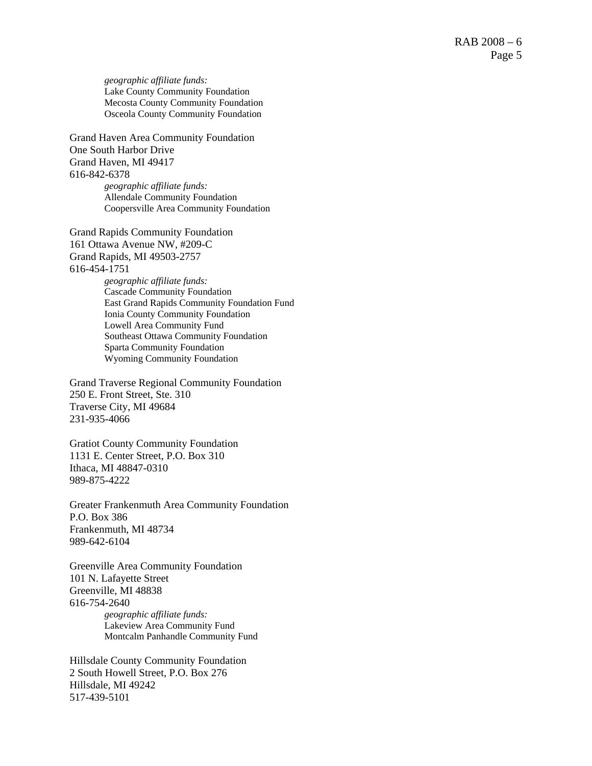*geographic affiliate funds:*  Lake County Community Foundation Mecosta County Community Foundation Osceola County Community Foundation

Grand Haven Area Community Foundation One South Harbor Drive Grand Haven, MI 49417 616-842-6378 *geographic affiliate funds:*  Allendale Community Foundation Coopersville Area Community Foundation

Grand Rapids Community Foundation 161 Ottawa Avenue NW, #209-C Grand Rapids, MI 49503-2757 616-454-1751

*geographic affiliate funds:*  Cascade Community Foundation East Grand Rapids Community Foundation Fund Ionia County Community Foundation Lowell Area Community Fund Southeast Ottawa Community Foundation Sparta Community Foundation Wyoming Community Foundation

Grand Traverse Regional Community Foundation 250 E. Front Street, Ste. 310 Traverse City, MI 49684 231-935-4066

Gratiot County Community Foundation 1131 E. Center Street, P.O. Box 310 Ithaca, MI 48847-0310 989-875-4222

Greater Frankenmuth Area Community Foundation P.O. Box 386 Frankenmuth, MI 48734 989-642-6104

Greenville Area Community Foundation 101 N. Lafayette Street Greenville, MI 48838 616-754-2640 *geographic affiliate funds:*  Lakeview Area Community Fund Montcalm Panhandle Community Fund

Hillsdale County Community Foundation 2 South Howell Street, P.O. Box 276 Hillsdale, MI 49242 517-439-5101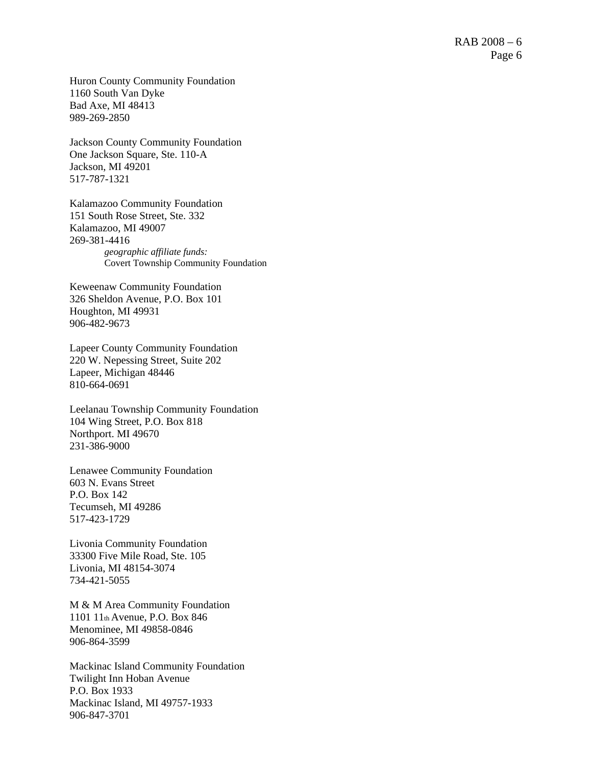Huron County Community Foundation 1160 South Van Dyke Bad Axe, MI 48413 989-269-2850

Jackson County Community Foundation One Jackson Square, Ste. 110-A Jackson, MI 49201 517-787-1321

Kalamazoo Community Foundation 151 South Rose Street, Ste. 332 Kalamazoo, MI 49007 269-381-4416 *geographic affiliate funds:*  Covert Township Community Foundation

Keweenaw Community Foundation 326 Sheldon Avenue, P.O. Box 101 Houghton, MI 49931 906-482-9673

Lapeer County Community Foundation 220 W. Nepessing Street, Suite 202 Lapeer, Michigan 48446 810-664-0691

Leelanau Township Community Foundation 104 Wing Street, P.O. Box 818 Northport. MI 49670 231-386-9000

Lenawee Community Foundation 603 N. Evans Street P.O. Box 142 Tecumseh, MI 49286 517-423-1729

Livonia Community Foundation 33300 Five Mile Road, Ste. 105 Livonia, MI 48154-3074 734-421-5055

M & M Area Community Foundation 1101 11th Avenue, P.O. Box 846 Menominee, MI 49858-0846 906-864-3599

Mackinac Island Community Foundation Twilight Inn Hoban Avenue P.O. Box 1933 Mackinac Island, MI 49757-1933 906-847-3701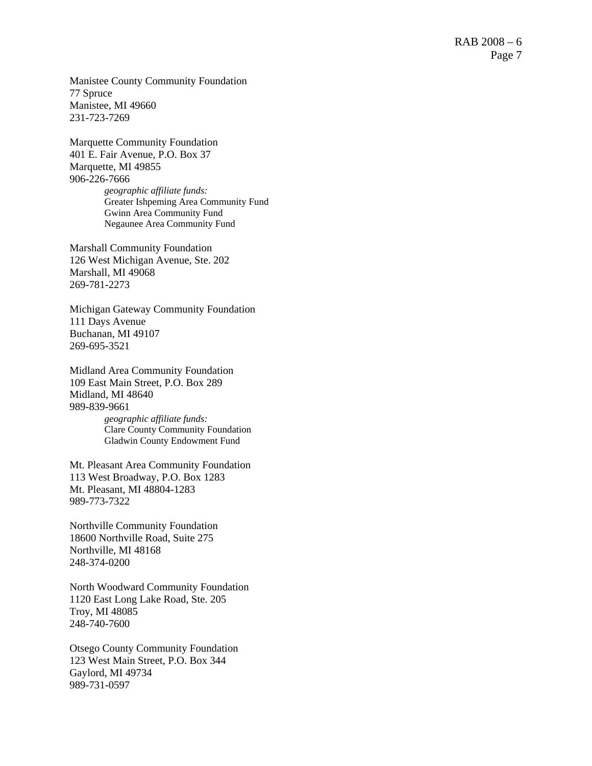Manistee County Community Foundation 77 Spruce Manistee, MI 49660 231-723-7269

Marquette Community Foundation 401 E. Fair Avenue, P.O. Box 37 Marquette, MI 49855 906-226-7666 *geographic affiliate funds:*  Greater Ishpeming Area Community Fund Gwinn Area Community Fund Negaunee Area Community Fund

Marshall Community Foundation 126 West Michigan Avenue, Ste. 202 Marshall, MI 49068 269-781-2273

Michigan Gateway Community Foundation 111 Days Avenue Buchanan, MI 49107 269-695-3521

Midland Area Community Foundation 109 East Main Street, P.O. Box 289 Midland, MI 48640 989-839-9661

*geographic affiliate funds:*  Clare County Community Foundation Gladwin County Endowment Fund

Mt. Pleasant Area Community Foundation 113 West Broadway, P.O. Box 1283 Mt. Pleasant, MI 48804-1283 989-773-7322

Northville Community Foundation 18600 Northville Road, Suite 275 Northville, MI 48168 248-374-0200

North Woodward Community Foundation 1120 East Long Lake Road, Ste. 205 Troy, MI 48085 248-740-7600

Otsego County Community Foundation 123 West Main Street, P.O. Box 344 Gaylord, MI 49734 989-731-0597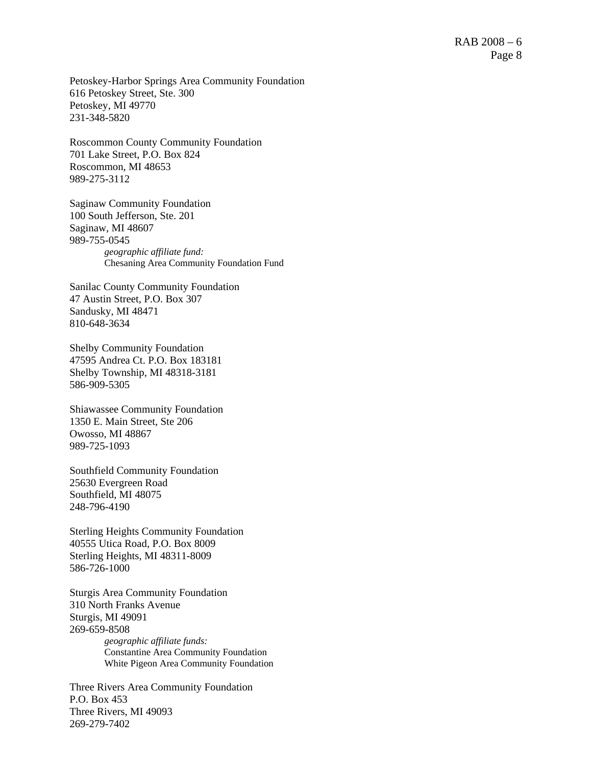Petoskey-Harbor Springs Area Community Foundation 616 Petoskey Street, Ste. 300 Petoskey, MI 49770 231-348-5820

Roscommon County Community Foundation 701 Lake Street, P.O. Box 824 Roscommon, MI 48653 989-275-3112

Saginaw Community Foundation 100 South Jefferson, Ste. 201 Saginaw, MI 48607 989-755-0545 *geographic affiliate fund:*  Chesaning Area Community Foundation Fund

Sanilac County Community Foundation 47 Austin Street, P.O. Box 307 Sandusky, MI 48471 810-648-3634

Shelby Community Foundation 47595 Andrea Ct. P.O. Box 183181 Shelby Township, MI 48318-3181 586-909-5305

Shiawassee Community Foundation 1350 E. Main Street, Ste 206 Owosso, MI 48867 989-725-1093

Southfield Community Foundation 25630 Evergreen Road Southfield, MI 48075 248-796-4190

Sterling Heights Community Foundation 40555 Utica Road, P.O. Box 8009 Sterling Heights, MI 48311-8009 586-726-1000

Sturgis Area Community Foundation 310 North Franks Avenue Sturgis, MI 49091 269-659-8508 *geographic affiliate funds:* 

Constantine Area Community Foundation White Pigeon Area Community Foundation

Three Rivers Area Community Foundation P.O. Box 453 Three Rivers, MI 49093 269-279-7402